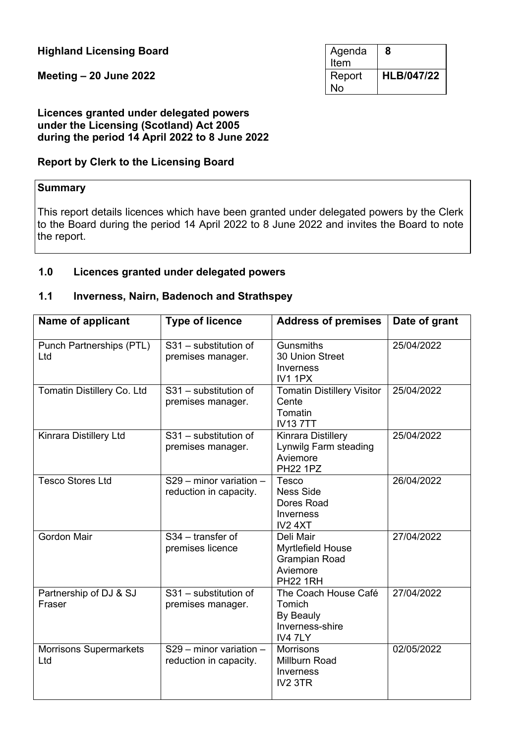**Highland Licensing Board** 

**Meeting – 20 June 2022** 

| Agenda<br>Item | 8                 |
|----------------|-------------------|
| Report<br>N٥   | <b>HLB/047/22</b> |

#### **Licences granted under delegated powers under the Licensing (Scotland) Act 2005 during the period 14 April 2022 to 8 June 2022**

#### **Report by Clerk to the Licensing Board**

#### **Summary**

This report details licences which have been granted under delegated powers by the Clerk to the Board during the period 14 April 2022 to 8 June 2022 and invites the Board to note the report.

#### **1.0 Licences granted under delegated powers**

#### **1.1 Inverness, Nairn, Badenoch and Strathspey**

| Name of applicant                    | <b>Type of licence</b>                              | <b>Address of premises</b>                                                            | Date of grant |
|--------------------------------------|-----------------------------------------------------|---------------------------------------------------------------------------------------|---------------|
| Punch Partnerships (PTL)<br>Ltd      | S31 - substitution of<br>premises manager.          | <b>Gunsmiths</b><br>30 Union Street<br>Inverness<br><b>IV1 1PX</b>                    | 25/04/2022    |
| Tomatin Distillery Co. Ltd           | S31 - substitution of<br>premises manager.          | <b>Tomatin Distillery Visitor</b><br>Cente<br>Tomatin<br><b>IV137TT</b>               | 25/04/2022    |
| Kinrara Distillery Ltd               | S31 - substitution of<br>premises manager.          | <b>Kinrara Distillery</b><br>Lynwilg Farm steading<br>Aviemore<br><b>PH22 1PZ</b>     | 25/04/2022    |
| <b>Tesco Stores Ltd</b>              | $S29$ – minor variation –<br>reduction in capacity. | Tesco<br><b>Ness Side</b><br>Dores Road<br><b>Inverness</b><br>IV <sub>2</sub> 4XT    | 26/04/2022    |
| <b>Gordon Mair</b>                   | S34 - transfer of<br>premises licence               | Deli Mair<br>Myrtlefield House<br><b>Grampian Road</b><br>Aviemore<br><b>PH22 1RH</b> | 27/04/2022    |
| Partnership of DJ & SJ<br>Fraser     | S31 - substitution of<br>premises manager.          | The Coach House Café<br>Tomich<br>By Beauly<br>Inverness-shire<br>IV4 7LY             | 27/04/2022    |
| <b>Morrisons Supermarkets</b><br>Ltd | $S29$ – minor variation –<br>reduction in capacity. | <b>Morrisons</b><br>Millburn Road<br>Inverness<br>IV <sub>2</sub> 3TR                 | 02/05/2022    |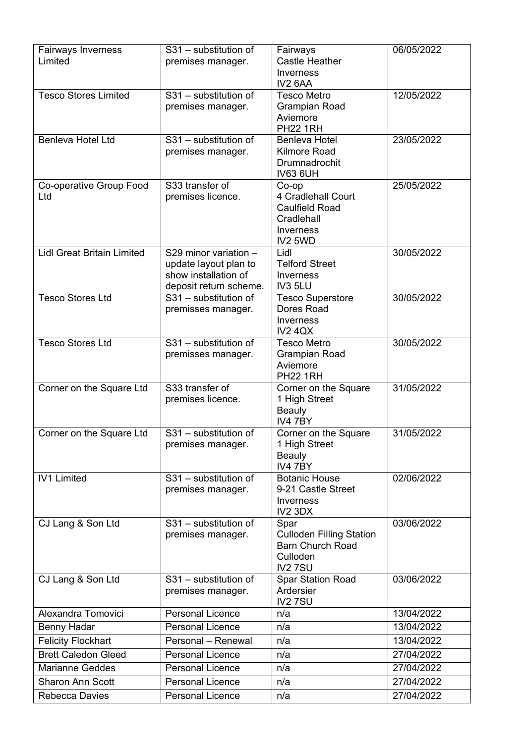| Fairways Inverness                | S31 - substitution of   | Fairways                                | 06/05/2022 |
|-----------------------------------|-------------------------|-----------------------------------------|------------|
| Limited                           | premises manager.       | <b>Castle Heather</b>                   |            |
|                                   |                         | Inverness                               |            |
|                                   |                         | IV2 6AA                                 |            |
| <b>Tesco Stores Limited</b>       | S31 - substitution of   | <b>Tesco Metro</b>                      | 12/05/2022 |
|                                   | premises manager.       | <b>Grampian Road</b>                    |            |
|                                   |                         | Aviemore                                |            |
|                                   |                         | <b>PH22 1RH</b>                         |            |
| Benleva Hotel Ltd                 | S31 - substitution of   | <b>Benleva Hotel</b>                    | 23/05/2022 |
|                                   | premises manager.       | Kilmore Road                            |            |
|                                   |                         | Drumnadrochit                           |            |
|                                   |                         | <b>IV63 6UH</b>                         |            |
| Co-operative Group Food           | S33 transfer of         | $Co$ -op                                | 25/05/2022 |
| Ltd                               | premises licence.       | 4 Cradlehall Court                      |            |
|                                   |                         | <b>Caulfield Road</b>                   |            |
|                                   |                         | Cradlehall                              |            |
|                                   |                         | <b>Inverness</b><br>IV2 5WD             |            |
| <b>Lidl Great Britain Limited</b> | S29 minor variation -   | Lidl                                    | 30/05/2022 |
|                                   | update layout plan to   | <b>Telford Street</b>                   |            |
|                                   | show installation of    | <b>Inverness</b>                        |            |
|                                   | deposit return scheme.  | IV3 5LU                                 |            |
| <b>Tesco Stores Ltd</b>           | S31 - substitution of   | <b>Tesco Superstore</b>                 | 30/05/2022 |
|                                   | premisses manager.      | Dores Road                              |            |
|                                   |                         | Inverness                               |            |
|                                   |                         | <b>IV2 4QX</b>                          |            |
| <b>Tesco Stores Ltd</b>           | $S31 -$ substitution of | <b>Tesco Metro</b>                      | 30/05/2022 |
|                                   | premisses manager.      | <b>Grampian Road</b>                    |            |
|                                   |                         | Aviemore                                |            |
| Corner on the Square Ltd          | S33 transfer of         | <b>PH22 1RH</b><br>Corner on the Square | 31/05/2022 |
|                                   | premises licence.       | 1 High Street                           |            |
|                                   |                         | <b>Beauly</b>                           |            |
|                                   |                         | IV4 7BY                                 |            |
| Corner on the Square Ltd          | S31 - substitution of   | Corner on the Square                    | 31/05/2022 |
|                                   | premises manager.       | 1 High Street                           |            |
|                                   |                         | <b>Beauly</b>                           |            |
|                                   |                         | IV4 7BY                                 |            |
| <b>IV1 Limited</b>                | S31 - substitution of   | <b>Botanic House</b>                    | 02/06/2022 |
|                                   | premises manager.       | 9-21 Castle Street                      |            |
|                                   |                         | Inverness                               |            |
| CJ Lang & Son Ltd                 | S31 - substitution of   | IV2 3DX                                 | 03/06/2022 |
|                                   | premises manager.       | Spar<br><b>Culloden Filling Station</b> |            |
|                                   |                         | <b>Barn Church Road</b>                 |            |
|                                   |                         | Culloden                                |            |
|                                   |                         | <b>IV27SU</b>                           |            |
| CJ Lang & Son Ltd                 | S31 - substitution of   | <b>Spar Station Road</b>                | 03/06/2022 |
|                                   | premises manager.       | Ardersier                               |            |
|                                   |                         | IV2 7SU                                 |            |
| Alexandra Tomovici                | <b>Personal Licence</b> | n/a                                     | 13/04/2022 |
| Benny Hadar                       | <b>Personal Licence</b> | n/a                                     | 13/04/2022 |
| <b>Felicity Flockhart</b>         | Personal - Renewal      | n/a                                     | 13/04/2022 |
| <b>Brett Caledon Gleed</b>        | <b>Personal Licence</b> | n/a                                     | 27/04/2022 |
| <b>Marianne Geddes</b>            | <b>Personal Licence</b> | n/a                                     | 27/04/2022 |
| <b>Sharon Ann Scott</b>           | <b>Personal Licence</b> | n/a                                     | 27/04/2022 |
| Rebecca Davies                    | <b>Personal Licence</b> | n/a                                     | 27/04/2022 |
|                                   |                         |                                         |            |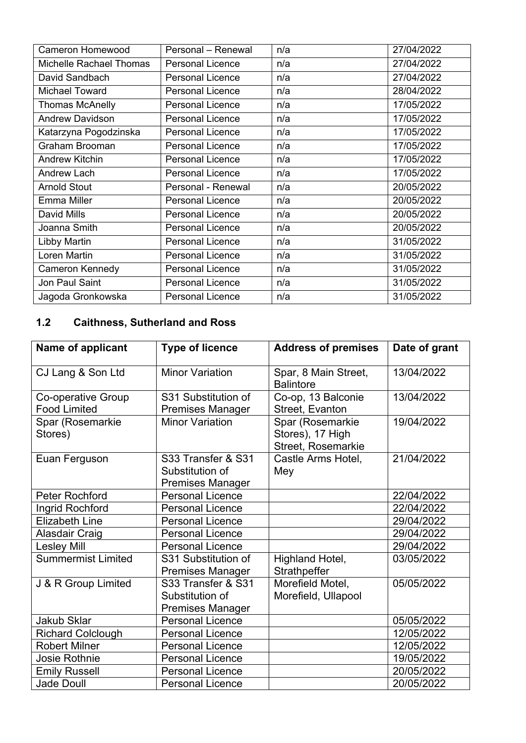| <b>Cameron Homewood</b> | Personal - Renewal      | n/a | 27/04/2022 |
|-------------------------|-------------------------|-----|------------|
| Michelle Rachael Thomas | <b>Personal Licence</b> | n/a | 27/04/2022 |
| David Sandbach          | <b>Personal Licence</b> | n/a | 27/04/2022 |
| <b>Michael Toward</b>   | <b>Personal Licence</b> | n/a | 28/04/2022 |
| <b>Thomas McAnelly</b>  | <b>Personal Licence</b> | n/a | 17/05/2022 |
| <b>Andrew Davidson</b>  | <b>Personal Licence</b> | n/a | 17/05/2022 |
| Katarzyna Pogodzinska   | <b>Personal Licence</b> | n/a | 17/05/2022 |
| Graham Brooman          | <b>Personal Licence</b> | n/a | 17/05/2022 |
| <b>Andrew Kitchin</b>   | <b>Personal Licence</b> | n/a | 17/05/2022 |
| Andrew Lach             | <b>Personal Licence</b> | n/a | 17/05/2022 |
| <b>Arnold Stout</b>     | Personal - Renewal      | n/a | 20/05/2022 |
| <b>Emma Miller</b>      | <b>Personal Licence</b> | n/a | 20/05/2022 |
| <b>David Mills</b>      | <b>Personal Licence</b> | n/a | 20/05/2022 |
| Joanna Smith            | <b>Personal Licence</b> | n/a | 20/05/2022 |
| Libby Martin            | <b>Personal Licence</b> | n/a | 31/05/2022 |
| Loren Martin            | <b>Personal Licence</b> | n/a | 31/05/2022 |
| Cameron Kennedy         | <b>Personal Licence</b> | n/a | 31/05/2022 |
| Jon Paul Saint          | <b>Personal Licence</b> | n/a | 31/05/2022 |
| Jagoda Gronkowska       | <b>Personal Licence</b> | n/a | 31/05/2022 |

## **1.2 Caithness, Sutherland and Ross**

| Name of applicant                         | <b>Type of licence</b>                                           | <b>Address of premises</b>                                 | Date of grant |
|-------------------------------------------|------------------------------------------------------------------|------------------------------------------------------------|---------------|
| CJ Lang & Son Ltd                         | <b>Minor Variation</b>                                           | Spar, 8 Main Street,<br><b>Balintore</b>                   | 13/04/2022    |
| Co-operative Group<br><b>Food Limited</b> | S31 Substitution of<br><b>Premises Manager</b>                   | Co-op, 13 Balconie<br>Street, Evanton                      | 13/04/2022    |
| Spar (Rosemarkie<br>Stores)               | <b>Minor Variation</b>                                           | Spar (Rosemarkie<br>Stores), 17 High<br>Street, Rosemarkie | 19/04/2022    |
| Euan Ferguson                             | S33 Transfer & S31<br>Substitution of<br><b>Premises Manager</b> | Castle Arms Hotel,<br>Mey                                  | 21/04/2022    |
| <b>Peter Rochford</b>                     | <b>Personal Licence</b>                                          |                                                            | 22/04/2022    |
| Ingrid Rochford                           | <b>Personal Licence</b>                                          |                                                            | 22/04/2022    |
| <b>Elizabeth Line</b>                     | <b>Personal Licence</b>                                          |                                                            | 29/04/2022    |
| Alasdair Craig                            | <b>Personal Licence</b>                                          |                                                            | 29/04/2022    |
| <b>Lesley Mill</b>                        | <b>Personal Licence</b>                                          |                                                            | 29/04/2022    |
| Summermist Limited                        | S31 Substitution of<br><b>Premises Manager</b>                   | Highland Hotel,<br>Strathpeffer                            | 03/05/2022    |
| J & R Group Limited                       | S33 Transfer & S31<br>Substitution of<br><b>Premises Manager</b> | Morefield Motel,<br>Morefield, Ullapool                    | 05/05/2022    |
| <b>Jakub Sklar</b>                        | <b>Personal Licence</b>                                          |                                                            | 05/05/2022    |
| <b>Richard Colclough</b>                  | <b>Personal Licence</b>                                          |                                                            | 12/05/2022    |
| <b>Robert Milner</b>                      | <b>Personal Licence</b>                                          |                                                            | 12/05/2022    |
| <b>Josie Rothnie</b>                      | <b>Personal Licence</b>                                          |                                                            | 19/05/2022    |
| <b>Emily Russell</b>                      | <b>Personal Licence</b>                                          |                                                            | 20/05/2022    |
| <b>Jade Doull</b>                         | <b>Personal Licence</b>                                          |                                                            | 20/05/2022    |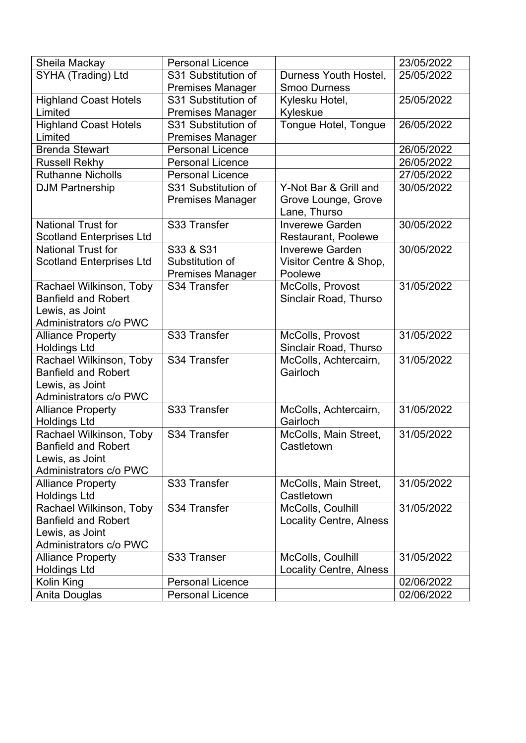| Sheila Mackay                   | <b>Personal Licence</b> |                                | 23/05/2022 |
|---------------------------------|-------------------------|--------------------------------|------------|
| SYHA (Trading) Ltd              | S31 Substitution of     | Durness Youth Hostel,          | 25/05/2022 |
|                                 | <b>Premises Manager</b> | <b>Smoo Durness</b>            |            |
| <b>Highland Coast Hotels</b>    | S31 Substitution of     | Kylesku Hotel,                 | 25/05/2022 |
| Limited                         | <b>Premises Manager</b> | Kyleskue                       |            |
| <b>Highland Coast Hotels</b>    | S31 Substitution of     | Tongue Hotel, Tongue           | 26/05/2022 |
| Limited                         | <b>Premises Manager</b> |                                |            |
| <b>Brenda Stewart</b>           | <b>Personal Licence</b> |                                | 26/05/2022 |
| <b>Russell Rekhy</b>            | <b>Personal Licence</b> |                                | 26/05/2022 |
| <b>Ruthanne Nicholls</b>        | <b>Personal Licence</b> |                                | 27/05/2022 |
| <b>DJM Partnership</b>          | S31 Substitution of     | Y-Not Bar & Grill and          | 30/05/2022 |
|                                 | <b>Premises Manager</b> | Grove Lounge, Grove            |            |
|                                 |                         | Lane, Thurso                   |            |
| <b>National Trust for</b>       | S33 Transfer            | <b>Inverewe Garden</b>         | 30/05/2022 |
| <b>Scotland Enterprises Ltd</b> |                         | <b>Restaurant, Poolewe</b>     |            |
| <b>National Trust for</b>       | S33 & S31               | <b>Inverewe Garden</b>         | 30/05/2022 |
| <b>Scotland Enterprises Ltd</b> | Substitution of         | Visitor Centre & Shop,         |            |
|                                 | <b>Premises Manager</b> | Poolewe                        |            |
| Rachael Wilkinson, Toby         | S34 Transfer            | McColls, Provost               | 31/05/2022 |
| <b>Banfield and Robert</b>      |                         | Sinclair Road, Thurso          |            |
| Lewis, as Joint                 |                         |                                |            |
| Administrators c/o PWC          |                         |                                |            |
| <b>Alliance Property</b>        | S33 Transfer            | McColls, Provost               | 31/05/2022 |
| <b>Holdings Ltd</b>             |                         | Sinclair Road, Thurso          |            |
| Rachael Wilkinson, Toby         | S34 Transfer            | McColls, Achtercairn,          | 31/05/2022 |
| <b>Banfield and Robert</b>      |                         | Gairloch                       |            |
| Lewis, as Joint                 |                         |                                |            |
| Administrators c/o PWC          |                         |                                |            |
| <b>Alliance Property</b>        | S33 Transfer            | McColls, Achtercairn,          | 31/05/2022 |
| <b>Holdings Ltd</b>             |                         | Gairloch                       |            |
| Rachael Wilkinson, Toby         | S34 Transfer            | McColls, Main Street,          | 31/05/2022 |
| <b>Banfield and Robert</b>      |                         | Castletown                     |            |
| Lewis, as Joint                 |                         |                                |            |
| Administrators c/o PWC          |                         |                                |            |
| <b>Alliance Property</b>        | S33 Transfer            | McColls, Main Street,          | 31/05/2022 |
| <b>Holdings Ltd</b>             |                         | Castletown                     |            |
| Rachael Wilkinson, Toby         | S34 Transfer            | McColls, Coulhill              | 31/05/2022 |
| <b>Banfield and Robert</b>      |                         | <b>Locality Centre, Alness</b> |            |
| Lewis, as Joint                 |                         |                                |            |
| Administrators c/o PWC          |                         |                                |            |
| <b>Alliance Property</b>        | S33 Transer             | McColls, Coulhill              | 31/05/2022 |
| <b>Holdings Ltd</b>             |                         | <b>Locality Centre, Alness</b> |            |
| Kolin King                      | <b>Personal Licence</b> |                                | 02/06/2022 |
| Anita Douglas                   | <b>Personal Licence</b> |                                | 02/06/2022 |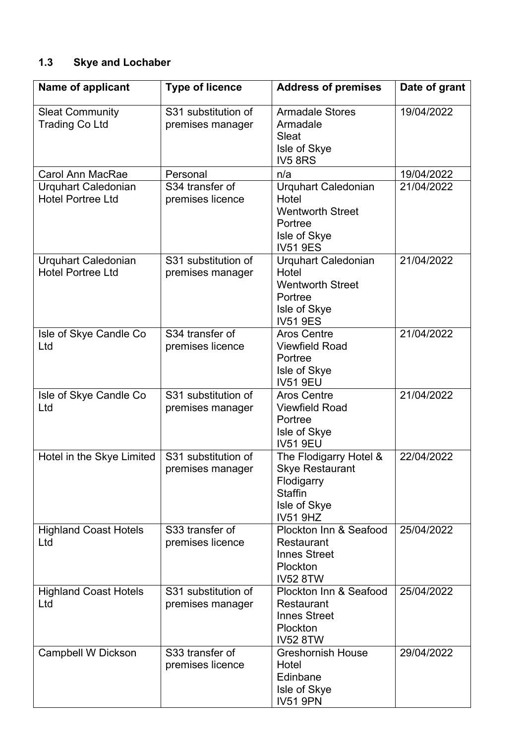# **1.3 Skye and Lochaber**

| Name of applicant                                      | <b>Type of licence</b>                  | <b>Address of premises</b>                                                                                          | Date of grant |
|--------------------------------------------------------|-----------------------------------------|---------------------------------------------------------------------------------------------------------------------|---------------|
| <b>Sleat Community</b><br><b>Trading Co Ltd</b>        | S31 substitution of<br>premises manager | <b>Armadale Stores</b><br>Armadale<br>Sleat<br>Isle of Skye<br><b>IV5 8RS</b>                                       | 19/04/2022    |
| <b>Carol Ann MacRae</b>                                | Personal                                | n/a                                                                                                                 | 19/04/2022    |
| <b>Urquhart Caledonian</b><br><b>Hotel Portree Ltd</b> | S34 transfer of<br>premises licence     | <b>Urquhart Caledonian</b><br>Hotel<br><b>Wentworth Street</b><br>Portree<br>Isle of Skye<br><b>IV51 9ES</b>        | 21/04/2022    |
| <b>Urquhart Caledonian</b><br><b>Hotel Portree Ltd</b> | S31 substitution of<br>premises manager | Urquhart Caledonian<br>Hotel<br><b>Wentworth Street</b><br>Portree<br>Isle of Skye<br><b>IV51 9ES</b>               | 21/04/2022    |
| Isle of Skye Candle Co<br>Ltd                          | S34 transfer of<br>premises licence     | <b>Aros Centre</b><br><b>Viewfield Road</b><br>Portree<br>Isle of Skye<br><b>IV51 9EU</b>                           | 21/04/2022    |
| Isle of Skye Candle Co<br>Ltd                          | S31 substitution of<br>premises manager | <b>Aros Centre</b><br><b>Viewfield Road</b><br>Portree<br>Isle of Skye<br><b>IV51 9EU</b>                           | 21/04/2022    |
| Hotel in the Skye Limited                              | S31 substitution of<br>premises manager | The Flodigarry Hotel &<br><b>Skye Restaurant</b><br>Flodigarry<br><b>Staffin</b><br>Isle of Skye<br><b>IV51 9HZ</b> | 22/04/2022    |
| <b>Highland Coast Hotels</b><br>Ltd                    | S33 transfer of<br>premises licence     | Plockton Inn & Seafood<br><b>Restaurant</b><br><b>Innes Street</b><br>Plockton<br><b>IV52 8TW</b>                   | 25/04/2022    |
| <b>Highland Coast Hotels</b><br>Ltd                    | S31 substitution of<br>premises manager | Plockton Inn & Seafood<br><b>Restaurant</b><br><b>Innes Street</b><br>Plockton<br><b>IV52 8TW</b>                   | 25/04/2022    |
| <b>Campbell W Dickson</b>                              | S33 transfer of<br>premises licence     | <b>Greshornish House</b><br>Hotel<br>Edinbane<br>Isle of Skye<br><b>IV51 9PN</b>                                    | 29/04/2022    |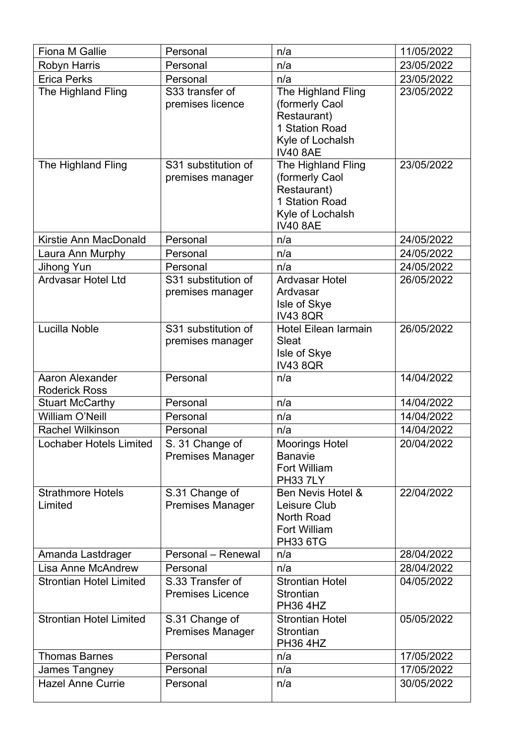| Fiona M Gallie                                 | Personal                                    | n/a                                                                                                          | 11/05/2022 |
|------------------------------------------------|---------------------------------------------|--------------------------------------------------------------------------------------------------------------|------------|
| <b>Robyn Harris</b>                            | Personal                                    | n/a                                                                                                          | 23/05/2022 |
| <b>Erica Perks</b>                             | Personal                                    | n/a                                                                                                          | 23/05/2022 |
| The Highland Fling                             | S33 transfer of<br>premises licence         | The Highland Fling<br>(formerly Caol<br>Restaurant)<br>1 Station Road<br>Kyle of Lochalsh<br><b>IV40 8AE</b> | 23/05/2022 |
| The Highland Fling                             | S31 substitution of<br>premises manager     | The Highland Fling<br>(formerly Caol<br>Restaurant)<br>1 Station Road<br>Kyle of Lochalsh<br><b>IV40 8AE</b> | 23/05/2022 |
| Kirstie Ann MacDonald                          | Personal                                    | n/a                                                                                                          | 24/05/2022 |
| Laura Ann Murphy                               | Personal                                    | n/a                                                                                                          | 24/05/2022 |
| Jihong Yun                                     | Personal                                    | n/a                                                                                                          | 24/05/2022 |
| Ardvasar Hotel Ltd                             | S31 substitution of<br>premises manager     | <b>Ardvasar Hotel</b><br>Ardvasar<br>Isle of Skye<br><b>IV43 8QR</b>                                         | 26/05/2022 |
| Lucilla Noble                                  | S31 substitution of<br>premises manager     | <b>Hotel Eilean Iarmain</b><br>Sleat<br>Isle of Skye<br><b>IV43 8QR</b>                                      | 26/05/2022 |
| <b>Aaron Alexander</b><br><b>Roderick Ross</b> | Personal                                    | n/a                                                                                                          | 14/04/2022 |
| <b>Stuart McCarthy</b>                         | Personal                                    | n/a                                                                                                          | 14/04/2022 |
| <b>William O'Neill</b>                         | Personal                                    | n/a                                                                                                          | 14/04/2022 |
| <b>Rachel Wilkinson</b>                        | Personal                                    | n/a                                                                                                          | 14/04/2022 |
| <b>Lochaber Hotels Limited</b>                 | S. 31 Change of<br><b>Premises Manager</b>  | <b>Moorings Hotel</b><br><b>Banavie</b><br>Fort William                                                      | 20/04/2022 |
| <b>Strathmore Hotels</b>                       |                                             | <b>PH33 7LY</b>                                                                                              |            |
| Limited                                        | S.31 Change of<br><b>Premises Manager</b>   | Ben Nevis Hotel &<br>Leisure Club<br><b>North Road</b><br>Fort William<br><b>PH33 6TG</b>                    | 22/04/2022 |
| Amanda Lastdrager                              | Personal - Renewal                          | n/a                                                                                                          | 28/04/2022 |
| Lisa Anne McAndrew                             | Personal                                    | n/a                                                                                                          | 28/04/2022 |
| <b>Strontian Hotel Limited</b>                 | S.33 Transfer of<br><b>Premises Licence</b> | <b>Strontian Hotel</b><br>Strontian<br><b>PH36 4HZ</b>                                                       | 04/05/2022 |
| <b>Strontian Hotel Limited</b>                 | S.31 Change of<br><b>Premises Manager</b>   | <b>Strontian Hotel</b><br>Strontian<br><b>PH36 4HZ</b>                                                       | 05/05/2022 |
| <b>Thomas Barnes</b>                           | Personal                                    | n/a                                                                                                          | 17/05/2022 |
| James Tangney                                  | Personal                                    | n/a                                                                                                          | 17/05/2022 |